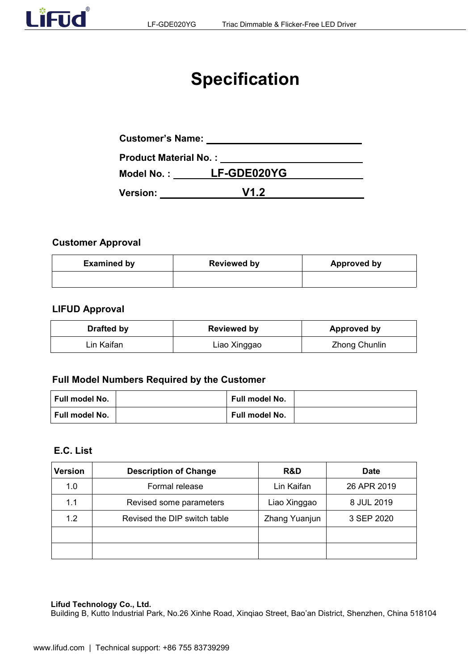

# **Specification**

| <b>Customer's Name:</b>      |                        |  |
|------------------------------|------------------------|--|
| <b>Product Material No.:</b> |                        |  |
|                              | Model No.: LF-GDE020YG |  |
| <b>Version:</b>              | V12                    |  |

#### **Customer Approval**

| <b>Examined by</b> | <b>Reviewed by</b> | <b>Approved by</b> |
|--------------------|--------------------|--------------------|
|                    |                    |                    |

#### **LIFUD Approval**

| <b>Drafted by</b> | <b>Reviewed by</b> | Approved by   |
|-------------------|--------------------|---------------|
| ∟in Kaifan_       | ∟iao Xinggao       | Zhong Chunlin |

# **Full Model Numbers Required by the Customer**

| ∣ Full model No. | <b>Full model No.</b> |  |
|------------------|-----------------------|--|
| ∣ Full model No. | Full model No.        |  |

#### **E.C. List**

| Version | <b>Description of Change</b> | R&D           | <b>Date</b> |
|---------|------------------------------|---------------|-------------|
| 1.0     | Formal release               | Lin Kaifan    | 26 APR 2019 |
| 1.1     | Revised some parameters      | Liao Xinggao  | 8 JUL 2019  |
| 1.2     | Revised the DIP switch table | Zhang Yuanjun | 3 SEP 2020  |
|         |                              |               |             |
|         |                              |               |             |

#### **Lifud Technology Co., Ltd.**

Building B, Kutto Industrial Park, No.26 Xinhe Road, Xinqiao Street, Bao'an District, Shenzhen, China 518104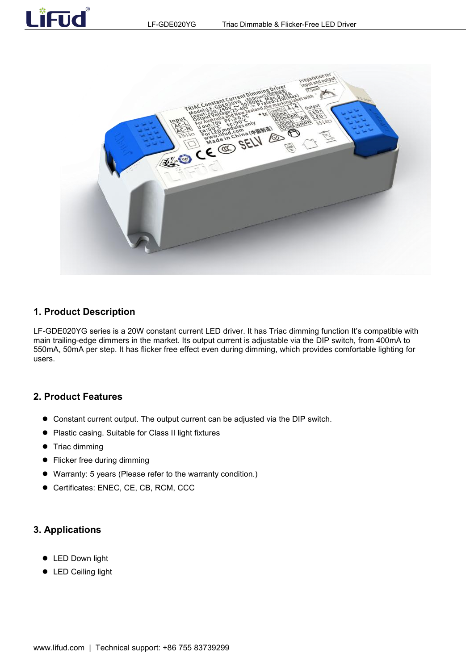



#### **1. Product Description**

LF-GDE020YG series is a 20W constant current LED driver. It has Triac dimming function It's compatible with main trailing-edge dimmers in the market. Its output current is adjustable via the DIP switch, from 400mA to 550mA, 50mA per step. It has flicker free effect even during dimming, which provides comfortable lighting for users.

#### **2. Product Features**

- Constant current output. The output current can be adjusted via the DIP switch.
- Plastic casing. Suitable for Class II light fixtures
- **•** Triac dimming
- Flicker free during dimming
- Warranty: 5 years (Please refer to the warranty condition.)
- Certificates: ENEC, CE, CB, RCM, CCC

#### **3. Applications**

- **•** LED Down light
- LED Ceiling light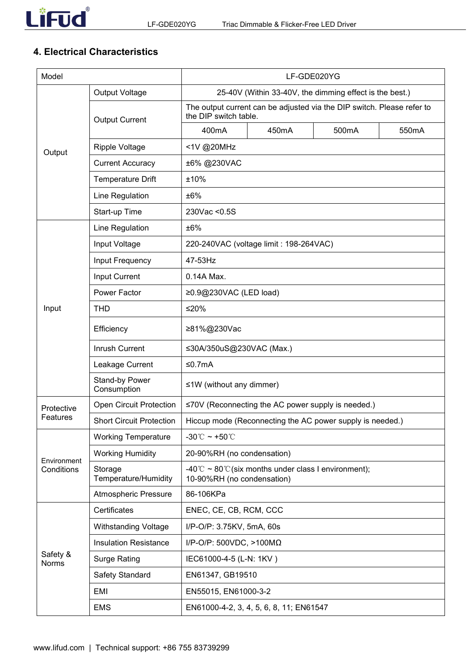

# **4. Electrical Characteristics**

| Model                    |                                 |                                 |                                                                                                 | LF-GDE020YG                                               |       |  |
|--------------------------|---------------------------------|---------------------------------|-------------------------------------------------------------------------------------------------|-----------------------------------------------------------|-------|--|
|                          | <b>Output Voltage</b>           |                                 |                                                                                                 | 25-40V (Within 33-40V, the dimming effect is the best.)   |       |  |
|                          | <b>Output Current</b>           |                                 | The output current can be adjusted via the DIP switch. Please refer to<br>the DIP switch table. |                                                           |       |  |
|                          |                                 | 400mA                           | 450mA                                                                                           | 500mA                                                     | 550mA |  |
| Output                   | Ripple Voltage                  | <1V @20MHz                      |                                                                                                 |                                                           |       |  |
|                          | <b>Current Accuracy</b>         | ±6% @230VAC                     |                                                                                                 |                                                           |       |  |
|                          | <b>Temperature Drift</b>        | ±10%                            |                                                                                                 |                                                           |       |  |
|                          | Line Regulation                 | ±6%                             |                                                                                                 |                                                           |       |  |
|                          | Start-up Time                   | 230Vac < 0.5S                   |                                                                                                 |                                                           |       |  |
|                          | Line Regulation                 | ±6%                             |                                                                                                 |                                                           |       |  |
|                          | Input Voltage                   |                                 | 220-240VAC (voltage limit : 198-264VAC)                                                         |                                                           |       |  |
|                          | Input Frequency                 | 47-53Hz                         |                                                                                                 |                                                           |       |  |
|                          | Input Current                   | 0.14A Max.                      |                                                                                                 |                                                           |       |  |
|                          | Power Factor                    | ≥0.9@230VAC (LED load)          |                                                                                                 |                                                           |       |  |
| Input                    | <b>THD</b>                      | $≤20%$                          |                                                                                                 |                                                           |       |  |
|                          | Efficiency                      | ≥81%@230Vac                     |                                                                                                 |                                                           |       |  |
|                          | Inrush Current                  | ≤30A/350uS@230VAC (Max.)        |                                                                                                 |                                                           |       |  |
|                          | Leakage Current                 | ≤0.7mA                          |                                                                                                 |                                                           |       |  |
|                          | Stand-by Power<br>Consumption   | $\leq$ 1W (without any dimmer)  |                                                                                                 |                                                           |       |  |
| Protective               | <b>Open Circuit Protection</b>  |                                 |                                                                                                 | ≤70V (Reconnecting the AC power supply is needed.)        |       |  |
| Features                 | <b>Short Circuit Protection</b> |                                 |                                                                                                 | Hiccup mode (Reconnecting the AC power supply is needed.) |       |  |
|                          | <b>Working Temperature</b>      | -30°C ~ +50°C                   |                                                                                                 |                                                           |       |  |
| Environment              | <b>Working Humidity</b>         | 20-90%RH (no condensation)      |                                                                                                 |                                                           |       |  |
| Conditions               | Storage<br>Temperature/Humidity | 10-90%RH (no condensation)      | -40°C ~ 80°C (six months under class I environment);                                            |                                                           |       |  |
|                          | Atmospheric Pressure            | 86-106KPa                       |                                                                                                 |                                                           |       |  |
|                          | Certificates                    | ENEC, CE, CB, RCM, CCC          |                                                                                                 |                                                           |       |  |
|                          | <b>Withstanding Voltage</b>     | I/P-O/P: 3.75KV, 5mA, 60s       |                                                                                                 |                                                           |       |  |
|                          | <b>Insulation Resistance</b>    | I/P-O/P: 500VDC, >100M $\Omega$ |                                                                                                 |                                                           |       |  |
| Safety &<br><b>Norms</b> | <b>Surge Rating</b>             | IEC61000-4-5 (L-N: 1KV)         |                                                                                                 |                                                           |       |  |
|                          | Safety Standard                 | EN61347, GB19510                |                                                                                                 |                                                           |       |  |
|                          | <b>EMI</b>                      | EN55015, EN61000-3-2            |                                                                                                 |                                                           |       |  |
|                          | <b>EMS</b>                      |                                 | EN61000-4-2, 3, 4, 5, 6, 8, 11; EN61547                                                         |                                                           |       |  |
|                          |                                 |                                 |                                                                                                 |                                                           |       |  |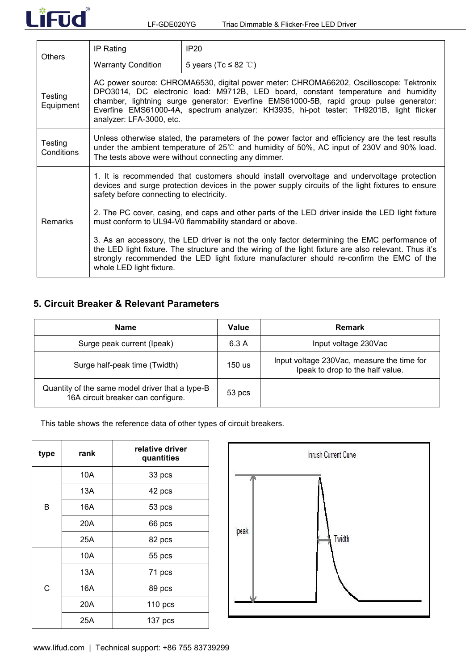

|                       | IP Rating                                                                                                                                                                                                                                                                                                                                                                                   | IP20                                                                                                                                                                                                                                                                                              |  |  |  |
|-----------------------|---------------------------------------------------------------------------------------------------------------------------------------------------------------------------------------------------------------------------------------------------------------------------------------------------------------------------------------------------------------------------------------------|---------------------------------------------------------------------------------------------------------------------------------------------------------------------------------------------------------------------------------------------------------------------------------------------------|--|--|--|
| <b>Others</b>         | <b>Warranty Condition</b><br>5 years (Tc $\leq$ 82 °C)                                                                                                                                                                                                                                                                                                                                      |                                                                                                                                                                                                                                                                                                   |  |  |  |
| Testing<br>Equipment  | AC power source: CHROMA6530, digital power meter: CHROMA66202, Oscilloscope: Tektronix<br>DPO3014, DC electronic load: M9712B, LED board, constant temperature and humidity<br>chamber, lightning surge generator: Everfine EMS61000-5B, rapid group pulse generator:<br>Everfine EMS61000-4A, spectrum analyzer: KH3935, hi-pot tester: TH9201B, light flicker<br>analyzer: LFA-3000, etc. |                                                                                                                                                                                                                                                                                                   |  |  |  |
| Testing<br>Conditions | Unless otherwise stated, the parameters of the power factor and efficiency are the test results<br>under the ambient temperature of $25^{\circ}$ and humidity of 50%, AC input of 230V and 90% load.<br>The tests above were without connecting any dimmer.                                                                                                                                 |                                                                                                                                                                                                                                                                                                   |  |  |  |
|                       | 1. It is recommended that customers should install overvoltage and undervoltage protection<br>devices and surge protection devices in the power supply circuits of the light fixtures to ensure<br>safety before connecting to electricity.                                                                                                                                                 |                                                                                                                                                                                                                                                                                                   |  |  |  |
| <b>Remarks</b>        | 2. The PC cover, casing, end caps and other parts of the LED driver inside the LED light fixture<br>must conform to UL94-V0 flammability standard or above.                                                                                                                                                                                                                                 |                                                                                                                                                                                                                                                                                                   |  |  |  |
|                       | whole LED light fixture.                                                                                                                                                                                                                                                                                                                                                                    | 3. As an accessory, the LED driver is not the only factor determining the EMC performance of<br>the LED light fixture. The structure and the wiring of the light fixture are also relevant. Thus it's<br>strongly recommended the LED light fixture manufacturer should re-confirm the EMC of the |  |  |  |

# **5. Circuit Breaker & Relevant Parameters**

| <b>Name</b>                                                                           | Value    | Remark                                                                         |
|---------------------------------------------------------------------------------------|----------|--------------------------------------------------------------------------------|
| Surge peak current (Ipeak)                                                            | 6.3A     | Input voltage 230Vac                                                           |
| Surge half-peak time (Twidth)                                                         | 150 us   | Input voltage 230Vac, measure the time for<br>lpeak to drop to the half value. |
| Quantity of the same model driver that a type-B<br>16A circuit breaker can configure. | $53$ pcs |                                                                                |

This table shows the reference data of other types of circuit breakers.

| type | rank | relative driver<br>quantities |       |
|------|------|-------------------------------|-------|
|      | 10A  | 33 pcs                        |       |
|      | 13A  | 42 pcs                        |       |
| B    | 16A  | 53 pcs                        |       |
|      | 20A  | 66 pcs                        |       |
|      | 25A  | 82 pcs                        | Ipeak |
|      | 10A  | 55 pcs                        |       |
|      | 13A  | 71 pcs                        |       |
| C    | 16A  | 89 pcs                        |       |
|      | 20A  | $110$ pcs                     |       |
|      | 25A  | 137 pcs                       |       |

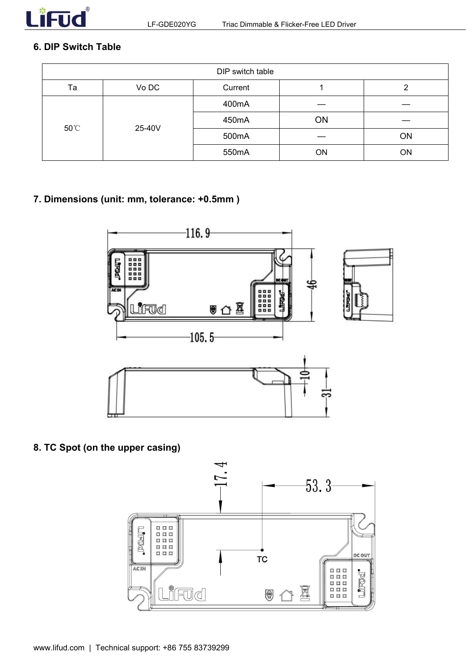

# **6. DIP Switch Table**

|    | DIP switch table |         |    |    |  |
|----|------------------|---------|----|----|--|
| Ta | Vo DC            | Current |    |    |  |
|    | 400mA            |         |    |    |  |
|    |                  | 450mA   | ON |    |  |
|    | 50°C<br>25-40V   | 500mA   |    | ON |  |
|    |                  | 550mA   | ON | ON |  |

# **7. Dimensions (unit: mm, tolerance: +0.5mm )**



## **8. TC Spot (on the upper casing)**

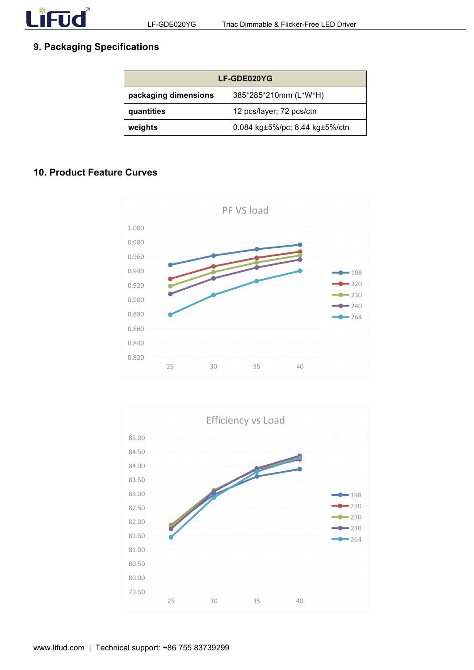

# **9. Packaging Specifications**

| <b>LF-GDE020YG</b>   |                                |  |
|----------------------|--------------------------------|--|
| packaging dimensions | 385*285*210mm (L*W*H)          |  |
| quantities           | 12 pcs/layer; 72 pcs/ctn       |  |
| weights              | 0.084 kg±5%/pc; 8.44 kg±5%/ctn |  |

#### **10. Product Feature Curves**



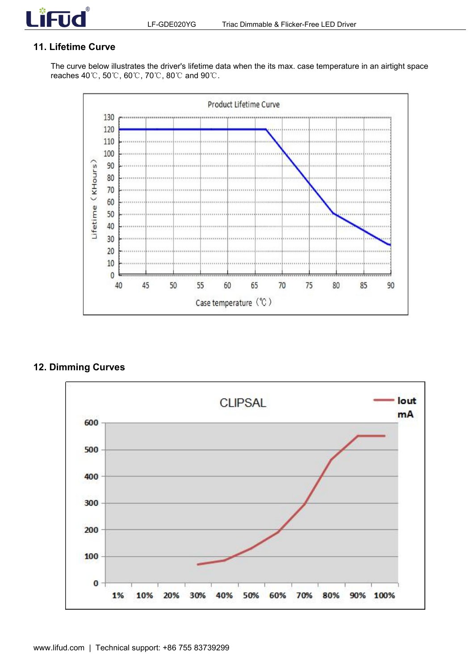

# **11. Lifetime Curve**

The curve below illustrates the driver's lifetime data when the its max. case temperature in an airtight space reaches 40℃, 50℃, 60℃, 70℃, 80℃ and 90℃.



## **12. Dimming Curves**

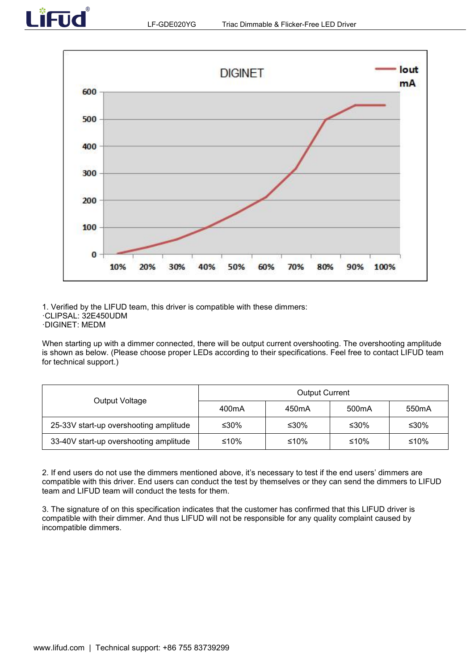



1. Verified by the LIFUD team, this driver is compatible with these dimmers: ·CLIPSAL: 32E450UDM ·DIGINET: MEDM

When starting up with a dimmer connected, there will be output current overshooting. The overshooting amplitude is shown as below. (Please choose proper LEDs according to their specifications. Feel free to contact LIFUD team for technical support.)

| Output Voltage                         |                    | <b>Output Current</b> |                    |                    |
|----------------------------------------|--------------------|-----------------------|--------------------|--------------------|
|                                        | 400 <sub>m</sub> A | 450 <sub>m</sub> A    | 500 <sub>m</sub> A | 550 <sub>m</sub> A |
| 25-33V start-up overshooting amplitude | ≤30%               | ≤30%                  | ≤30%               | ≤30%               |
| 33-40V start-up overshooting amplitude | ≤10%               | ≤10%                  | ≤10%               | ≤10%               |

2. If end users do not use the dimmers mentioned above, it's necessary to test if the end users' dimmers are compatible with this driver. End users can conduct the test by themselves or they can send the dimmers to LIFUD

team and LIFUD team will conduct the tests for them.<br>3. The signature of on this specification indicates that the customer has confirmed that this LIFUD driver is compatible with their dimmer. And thus LIFUD will not be responsible for any quality complaint caused by incompatible dimmers.